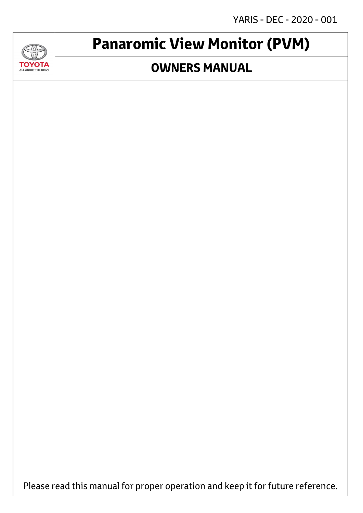YARIS - DEC - 2020 - 001



## **Panaromic View Monitor (PVM)**

### **OWNERS MANUAL**

Please read this manual for proper operation and keep it for future reference.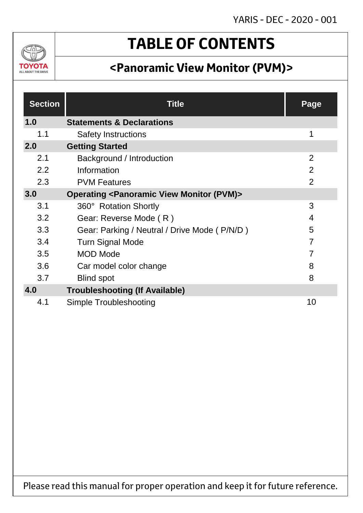

## **TABLE OF CONTENTS**

## **<Panoramic View Monitor (PVM)>**

| <b>Section</b> | <b>Title</b>                                                         | Page           |
|----------------|----------------------------------------------------------------------|----------------|
| 1.0            | <b>Statements &amp; Declarations</b>                                 |                |
| 1.1            | <b>Safety Instructions</b>                                           | 1              |
| 2.0            | <b>Getting Started</b>                                               |                |
| 2.1            | Background / Introduction                                            | $\overline{2}$ |
| 2.2            | Information                                                          | $\overline{2}$ |
| 2.3            | <b>PVM Features</b>                                                  | $\overline{2}$ |
| 3.0            | <b>Operating <panoramic (pvm)="" monitor="" view=""></panoramic></b> |                |
| 3.1            | 360° Rotation Shortly                                                | 3              |
| 3.2            | Gear: Reverse Mode (R)                                               | 4              |
| 3.3            | Gear: Parking / Neutral / Drive Mode (P/N/D)                         | 5              |
| 3.4            | <b>Turn Signal Mode</b>                                              | $\overline{7}$ |
| 3.5            | <b>MOD Mode</b>                                                      | 7              |
| 3.6            | Car model color change                                               | 8              |
| 3.7            | <b>Blind spot</b>                                                    | 8              |
| 4.0            | <b>Troubleshooting (If Available)</b>                                |                |
| 4.1            | Simple Troubleshooting                                               | 10             |

Please read this manual for proper operation and keep it for future reference.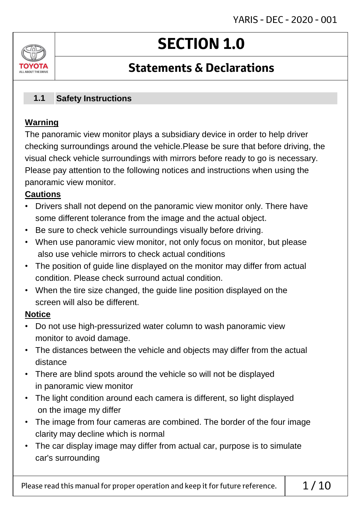# **SECTION 1.0**

### **Statements & Declarations**

#### **Safety Instructions 1.1**

### **Warning**

ΤΟΥΩΤΔ ALL AROUT THE DRIVE

> The panoramic view monitor plays a subsidiary device in order to help driver checking surroundings around the vehicle.Please be sure that before driving, the visual check vehicle surroundings with mirrors before ready to go is necessary. Please pay attention to the following notices and instructions when using the panoramic view monitor.

### **Cautions**

- Drivers shall not depend on the panoramic view monitor only. There have some different tolerance from the image and the actual object.
- Be sure to check vehicle surroundings visually before driving.
- When use panoramic view monitor, not only focus on monitor, but please also use vehicle mirrors to check actual conditions
- The position of guide line displayed on the monitor may differ from actual condition. Please check surround actual condition.
- When the tire size changed, the guide line position displayed on the screen will also be different.

### **Notice**

- Do not use high-pressurized water column to wash panoramic view monitor to avoid damage.
- The distances between the vehicle and objects may differ from the actual distance
- There are blind spots around the vehicle so will not be displayed in panoramic view monitor
- The light condition around each camera is different, so light displayed on the image my differ
- The image from four cameras are combined. The border of the four image clarity may decline which is normal
- The car display image may differ from actual car, purpose is to simulate car's surrounding

Please read this manual for proper operation and keep it for future reference.  $\vert$  1/10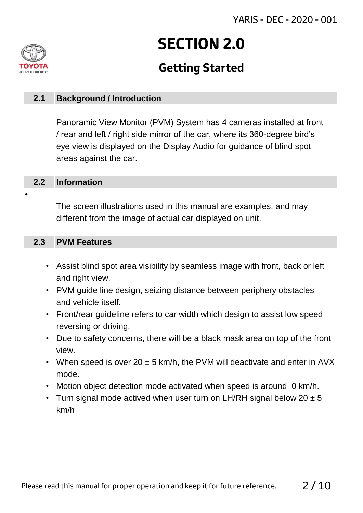# **SECTION 2.0**

### **Getting Started**

#### **Background / Introduction 2.1**

Panoramic View Monitor (PVM) System has 4 cameras installed at front / rear and left / right side mirror of the car, where its 360-degree bird's eye view is displayed on the Display Audio for guidance of blind spot areas against the car.

#### **Information 2.2**

•

ALL AROUT THE DR

The screen illustrations used in this manual are examples, and may different from the image of actual car displayed on unit.

#### **PVM Features 2.3**

- Assist blind spot area visibility by seamless image with front, back or left and right view.
- PVM guide line design, seizing distance between periphery obstacles and vehicle itself.
- Front/rear guideline refers to car width which design to assist low speed reversing or driving.
- Due to safety concerns, there will be a black mask area on top of the front view.
- When speed is over 20  $\pm$  5 km/h, the PVM will deactivate and enter in AVX mode.
- Motion object detection mode activated when speed is around 0 km/h.
- Turn signal mode actived when user turn on LH/RH signal below  $20 \pm 5$ km/h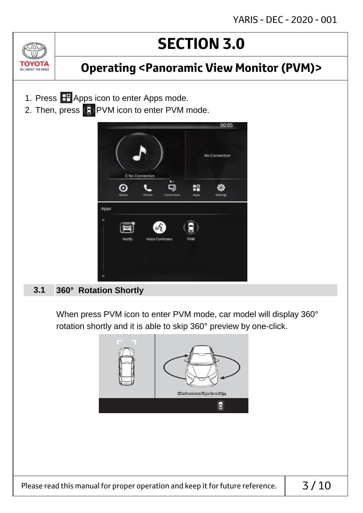$(n)$ TOYOTA ALL ABOUT THE DRIVE

### **Operating <Panoramic View Monitor (PVM)>**

- 1. Press **H** Apps icon to enter Apps mode.
- 2. Then, press  $\bigodot$  PVM icon to enter PVM mode.



#### **360° Rotation Shortly 3.1**

When press PVM icon to enter PVM mode, car model will display 360° rotation shortly and it is able to skip 360° preview by one-click.

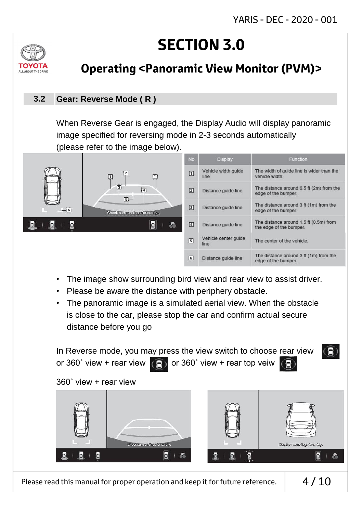

### **Operating <Panoramic View Monitor (PVM)>**

#### **Gear: Reverse Mode ( R ) 3.2**

When Reverse Gear is engaged, the Display Audio will display panoramic image specified for reversing mode in 2-3 seconds automatically (please refer to the image below).



- The image show surrounding bird view and rear view to assist driver.
- Please be aware the distance with periphery obstacle.
- The panoramic image is a simulated aerial view. When the obstacle is close to the car, please stop the car and confirm actual secure distance before you go



Please read this manual for proper operation and keep it for future reference.  $\vert 4/10$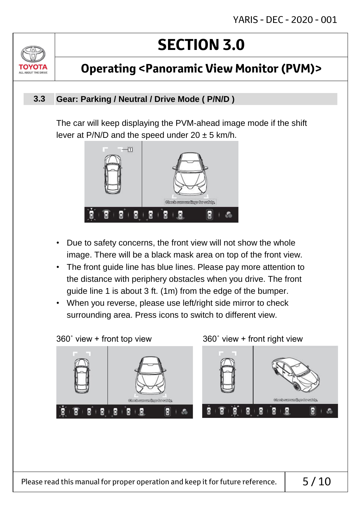

### **Operating <Panoramic View Monitor (PVM)>**

#### **Gear: Parking / Neutral / Drive Mode ( P/N/D ) 3.3**

The car will keep displaying the PVM-ahead image mode if the shift lever at P/N/D and the speed under  $20 \pm 5$  km/h.



- Due to safety concerns, the front view will not show the whole image. There will be a black mask area on top of the front view.
- The front guide line has blue lines. Please pay more attention to the distance with periphery obstacles when you drive. The front guide line 1 is about 3 ft. (1m) from the edge of the bumper.
- When you reverse, please use left/right side mirror to check surrounding area. Press icons to switch to different view.

360˚ view + front top view 360˚ view + front right view

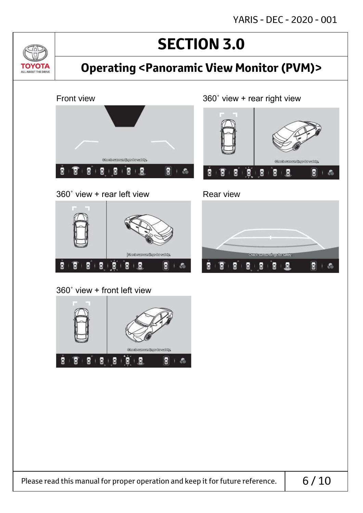YARIS - DEC - 2020 - 001

## **SECTION 3.0**

### **Operating <Panoramic View Monitor (PVM)>**



360˚ view + rear left view Rear view

<u>Jvl</u>

TOYOTA ALL ABOUT THE DRIVE

> jobs skeunerneihoge for exitaty. Ē ß Ø.  $B + B$ E E 上酒

360˚ view + front left view







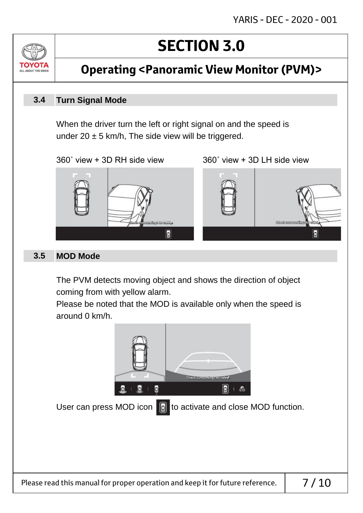

**Operating <Panoramic View Monitor (PVM)>**

#### **Turn Signal Mode 3.4**

When the driver turn the left or right signal on and the speed is under 20  $\pm$  5 km/h, The side view will be triggered.

360˚ view + 3D RH side view 360˚ view + 3D LH side view



#### **MOD Mode 3.5**

The PVM detects moving object and shows the direction of object coming from with yellow alarm.

Please be noted that the MOD is available only when the speed is around 0 km/h.

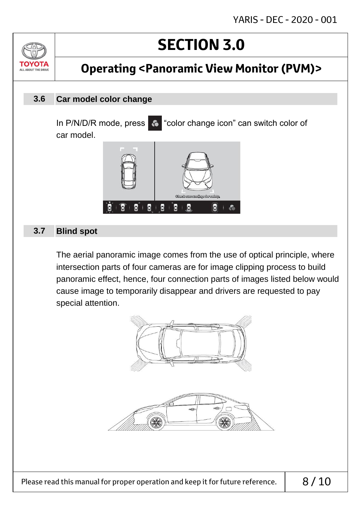ALL AROUT THE DRIV

## **Operating <Panoramic View Monitor (PVM)>**

#### **Car model color change 3.6**

In P/N/D/R mode, press  $\bullet$  "color change icon" can switch color of car model.



#### **Blind spot 3.7**

The aerial panoramic image comes from the use of optical principle, where intersection parts of four cameras are for image clipping process to build panoramic effect, hence, four connection parts of images listed below would cause image to temporarily disappear and drivers are requested to pay special attention.



Please read this manual for proper operation and keep it for future reference.  $\vert$  8/10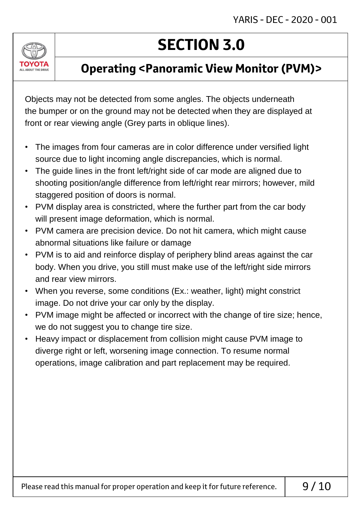

### **Operating <Panoramic View Monitor (PVM)>**

Objects may not be detected from some angles. The objects underneath the bumper or on the ground may not be detected when they are displayed at front or rear viewing angle (Grey parts in oblique lines).

- The images from four cameras are in color difference under versified light source due to light incoming angle discrepancies, which is normal.
- The guide lines in the front left/right side of car mode are aligned due to shooting position/angle difference from left/right rear mirrors; however, mild staggered position of doors is normal.
- PVM display area is constricted, where the further part from the car body will present image deformation, which is normal.
- PVM camera are precision device. Do not hit camera, which might cause abnormal situations like failure or damage
- PVM is to aid and reinforce display of periphery blind areas against the car body. When you drive, you still must make use of the left/right side mirrors and rear view mirrors.
- When you reverse, some conditions (Ex.: weather, light) might constrict image. Do not drive your car only by the display.
- PVM image might be affected or incorrect with the change of tire size; hence, we do not suggest you to change tire size.
- Heavy impact or displacement from collision might cause PVM image to diverge right or left, worsening image connection. To resume normal operations, image calibration and part replacement may be required.